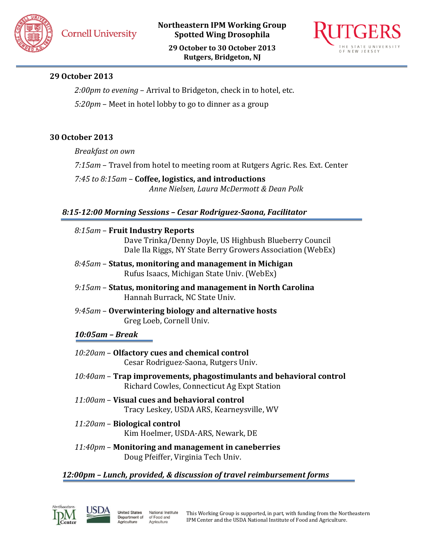**Northeastern IPM Working Group Spotted Wing Drosophila**

**29 October to 30 October 2013 Rutgers, Bridgeton, NJ**



# **29 October 2013**

*2:00pm to evening* – Arrival to Bridgeton, check in to hotel, etc.

*5:20pm* – Meet in hotel lobby to go to dinner as a group

# **30 October 2013**

*Breakfast on own*

*7:15am* – Travel from hotel to meeting room at Rutgers Agric. Res. Ext. Center

*7:45 to 8:15am* – **Coffee, logistics, and introductions** *Anne Nielsen, Laura McDermott & Dean Polk*

# *8:15-12:00 Morning Sessions – Cesar Rodriguez-Saona, Facilitator*

- *8:15am* **Fruit Industry Reports** Dave Trinka/Denny Doyle, US Highbush Blueberry Council Dale Ila Riggs, NY State Berry Growers Association (WebEx)
- *8:45am* **Status, monitoring and management in Michigan** Rufus Isaacs, Michigan State Univ. (WebEx)
- *9:15am* **Status, monitoring and management in North Carolina** Hannah Burrack, NC State Univ.
- *9:45am* **Overwintering biology and alternative hosts** Greg Loeb, Cornell Univ.

# *10:05am – Break*

- *10:20am* **Olfactory cues and chemical control** Cesar Rodriguez-Saona, Rutgers Univ.
- *10:40am* **Trap improvements, phagostimulants and behavioral control** Richard Cowles, Connecticut Ag Expt Station
- *11:00am* **Visual cues and behavioral control** Tracy Leskey, USDA ARS, Kearneysville, WV
- *11:20am* **Biological control** Kim Hoelmer, USDA-ARS, Newark, DE
- *11:40pm* **Monitoring and management in caneberries** Doug Pfeiffer, Virginia Tech Univ.

# *12:00pm – Lunch, provided, & discussion of travel reimbursement forms*